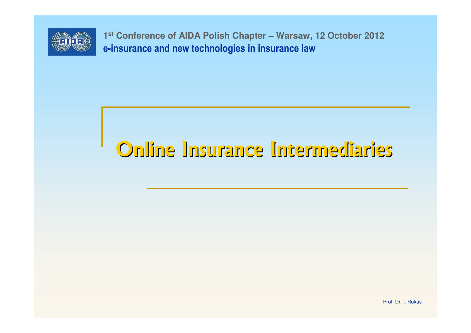

e-insurance and new technologies in insurance law**<sup>1</sup>st Conference of AIDA Polish Chapter – Warsaw, 12 October 2012**

# Online Insurance Intermediaries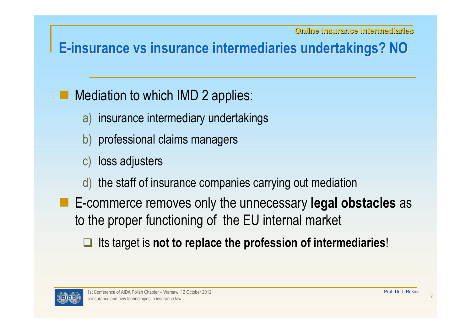### E-insurance vs insurance intermediaries undertakings? NO

## Mediation to which IMD 2 applies:

- a) insurance intermediary undertakings
- b) professional claims managers
- c) loss adjusters
- d) the staff of insurance companies carrying out mediation
- E-commerce removes only the unnecessary legal obstacles as to the proper functioning of the EU internal market
	- **□** Its target is not to replace the profession of intermediaries!

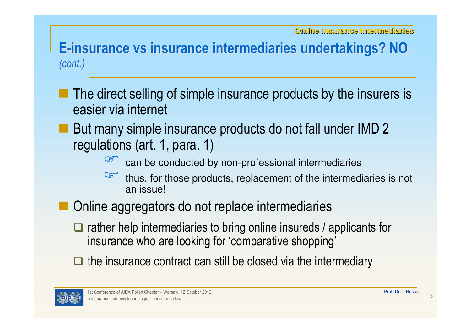#### E-insurance vs insurance intermediaries undertakings? NO (cont.)

- The direct selling of simple insurance products by the insurers is easier via internet
- But many simple insurance products do not fall under IMD 2 regulations (art. 1, para. 1)
	- **BED**
	- $\frac{10}{100}$  can be conducted by non-professional intermediaries<br>thus, for those products, replacement of the intermed **BED** thus, for those products, replacement of the intermediaries is not an issue! an issue!
- **Service Service**  Online aggregators do not replace intermediaries
	- □ rather help intermediaries to bring online insureds / applicants for rather help intermediaries to bring online insurance who are looking for 'comparative shopping' insurance who are looking for 'comparative shopping'
	- $\Box$  the insurance contract can still be closed via the intermediary

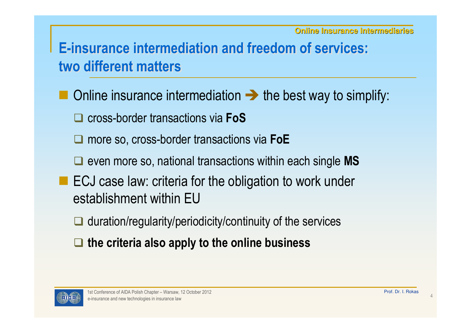## E-insurance intermediation and freedom of services:two different matters

- Online insurance intermediation  $\rightarrow$  the best way to simplify:
	- **□** cross-border transactions via FoS
	- **□** more so, cross-border transactions via FoE
	- □ even more so, national transactions within each single MS
- ECJ case law: criteria for the obligation to work under<br>establishment within  $\Gamma U$ establishment within EU
	- **■** duration/regularity/periodicity/continuity of the services
	- $\Box$  the criteria also apply to the online business

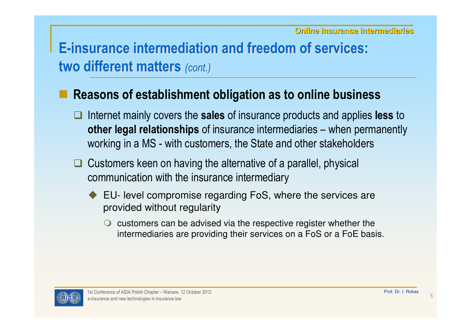# E-insurance intermediation and freedom of services:two different matters (cont.)

#### Reasons of establishment obligation as to online business

- $\Box$ Internet mainly covers the sales of insurance products and applies less to **other legal relationships** of insurance intermediaries – when permanently working in a MS - with customers, the State and other stakeholders
- $\Box$  Customers keen on having the alternative of a parallel, physical communication with the insurance intermediary
	- ◆ EU- level compromise regarding FoS, where the services are provided without reqularity provided without regularity
		- C customers can be advised via the respective register whether the<br>intermediaries are providing their services on a EoS or a EoE has intermediaries are providing their services on a FoS or a FoE basis.

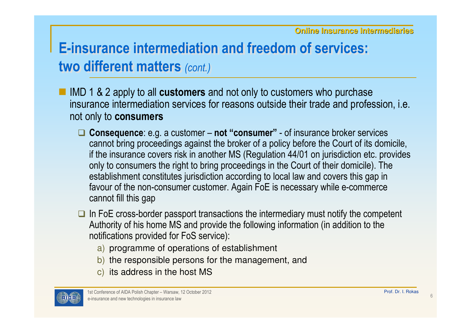# E-insurance intermediation and freedom of services:two different matters *(cont.)*

- IMD 1 & 2 apply to all **customers** and not only to customers who purchase insurance intermediation services for reasons outside their trade and profession, i.e. not only to consumers
	- □ Consequence: e.g. a customer not "consumer" of insurance broker services<br>cannot bring procoodings against the broker of a policy before the Court of its dom cannot bring proceedings against the broker of a policy before the Court of its domicile, if the insurance covers risk in another MS (Regulation 44/01 on jurisdiction etc. provides only to consumers the right to bring proceedings in the Court of their domicile). The establishment constitutes jurisdiction according to local law and covers this gap in favour of the non-consumer customer. Again FoE is necessary while e-commerce cannot fill this gap
	- In FoE cross-border passport transactions the intermediary must notify the competent and line information of his home MS and provide the following information (in addition to the Authority of his home MS and provide the following information (in addition to the notifications provided for FoS service):
		- a) programme of operations of establishment
		- b) the responsible persons for the management, and
		- $\,$ c)  $\,$  its address in the host MS  $\,$

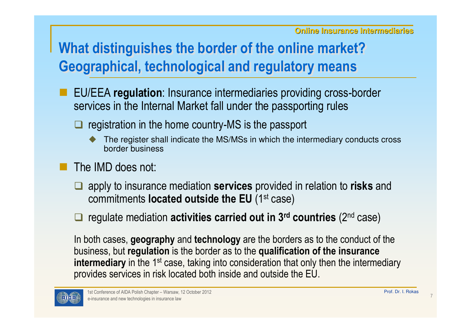# What distinguishes the border of the online market?Geographical, technological and regulatory means

- EU/EEA regulation: Insurance intermediaries providing cross-border services in the Internal Market fall under the passporting rules
	- **Q** registration in the home country-MS is the passport
		- ♦ The register shall indicate the MS/MSs in which the intermediary conducts cross border business
- The IMD does not:
	- $\Box$ apply to insurance mediation **services** provided in relation to **risks** and commitments located outside the EU (1st case)
	- $\Box$  regulate mediation activities carried out in 3<sup>rd</sup> countries (2<sup>nd</sup> case)

In both cases, **geography** and technology are the borders as to the conduct of the business, but regulation is the border as to the qualification of the insurance intermediary in the 1<sup>st</sup> case, taking into consideration that only then the intermediary provides services in risk located both inside and outside the EU.

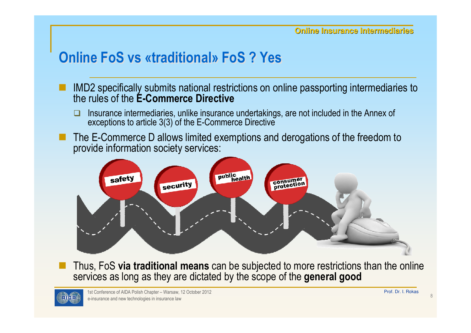#### Online FoS vs «traditional» FoS ? Yes

- IMD2 specifically submits national restrictions on online passporting intermediaries to the rules of the E-Commerce Directive
	- $\Box$  Insurance intermediaries, unlike insurance undertakings, are not included in the Annex of exceptions to article 3(3) of the E-Commerce Directive
- The E-Commerce D allows limited exemptions and derogations of the freedom to provide information society services:



 Thus, FoS via traditional means can be subjected to more restrictions than the online services as long as they are dictated by the scope of the general good

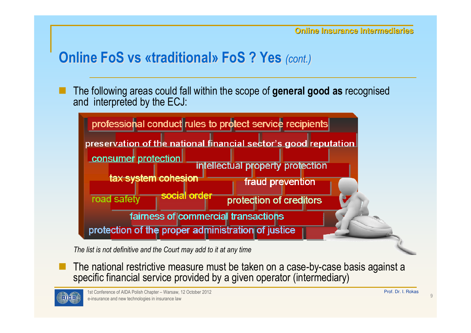# Online FoS vs «traditional» FoS ? Yes (cont.)

The following areas could fall within the scope of general good as recognised and interpreted by the ECJ:



The list is not definitive and the Court may add to it at any time

 The national restrictive measure must be taken on a case-by-case basis against a specific financial service provided by a given operator (intermediary)

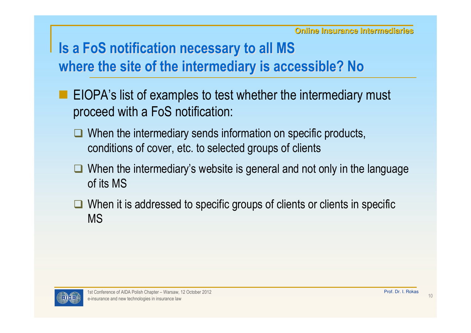# Is a FoS notification necessary to all MS where the site of the intermediary is accessible? No

- **EIOPA's list of examples to test whether the intermediary must** proceed with a FoS notification:
	- □ When the intermediary sends information on specific products, conditions of cover, etc. to selected groups of clients
	- When the intermediary's website is general and not only in the language of its MS of its MS
	- When it is addressed to specific groups of clients or clients in specific<br>MS MS

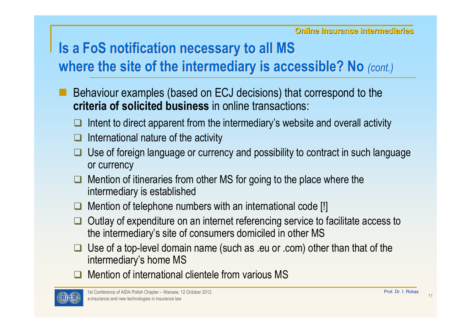### Is a FoS notification necessary to all MS where the site of the intermediary is accessible? No (cont.)

- Behaviour examples (based on ECJ decisions) that correspond to the criteria of solicited business in online transactions:
	- $\Box$ Intent to direct apparent from the intermediary's website and overall activity
	- $\Box$ International nature of the activity
	- $\Box$  Use of foreign language or currency and possibility to contract in such language or currency
	- $\Box$  Mention of itineraries from other MS for going to the place where the intermediary is established
	- $\Box$ Mention of telephone numbers with an international code [!]
	- $\Box$  Outlay of expenditure on an internet referencing service to facilitate access to the intermediary's site of consumers domiciled in other MS
	- Use of a top-level domain name (such as .eu or .com) other than that of the intermediary's home  $MS$ intermediary's home MS
	- **Q** Mention of international clientele from various MS

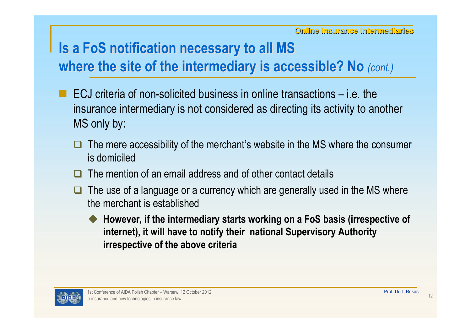# Is a FoS notification necessary to all MS where the site of the intermediary is accessible? No (cont.)

- ECJ criteria of non-solicited business in online transactions i.e. the insurance intermediary is not considered as directing its activity to another MS only by:
	- $\Box$  The mere accessibility of the merchant's website in the MS where the consumer is domiciled
	- $\Box$ The mention of an email address and of other contact details
	- $\Box$  The use of a language or a currency which are generally used in the MS where the merchant is established
		- ♦ However, if the intermediary starts working on a FoS basis (irrespective of internet), it will have to notify their national Supervisory Authority irrespective of the above criteria

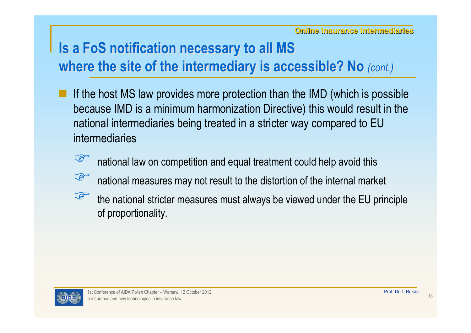# Is a FoS notification necessary to all MS where the site of the intermediary is accessible? No (cont.)

- If the host MS law provides more protection than the IMD (which is possible because IMD is a minimum harmonization Directive) this would result in the national intermediaries being treated in a stricter way compared to EU intermediaries
	- **BED** national law on competition and equal treatment could help avoid this
	- **COP** national measures may not result to the distortion of the internal market
	- **SEPTE**  the national stricter measures must always be viewed under the EU principle of proportionality.

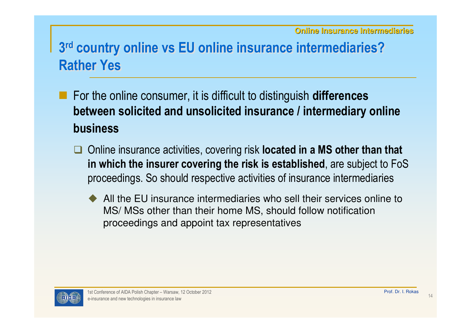- For the online consumer, it is difficult to distinguish **differences** between solicited and unsolicited insurance / intermediary online business
	- □ Online insurance activities, covering risk **located in a MS other than that**<br>in which the insurer covering the risk is cetablished, are subject to Fe? in which the insurer covering the risk is established, are subject to FoS proceedings. So should respective activities of insurance intermediaries
		- $\blacklozenge$  All the EU insurance intermediaries who sell their services online to MS/ MSs other than their home MS, should follow notification proceedings and appoint tax representatives

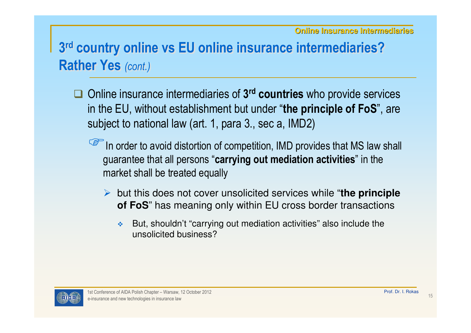- □ Online insurance intermediaries of 3<sup>rd</sup> countries who provide services in the EU, without establishment but under "the principle of FoS", are subject to national law (art. 1, para 3., sec a, IMD2)
	- In order to avoid distortion of competition, IMD provides that MS law shall guarantee that all persons "carrying out mediation activities" in the market shall be treated equally
		- but this does not cover unsolicited services while "**the principle of FoS**" has meaning only within EU cross border transactions
			- $\frac{1}{2}$  ,  $\frac{1}{2}$  But, shouldn't "carrying out mediation activities" also include the unsolicited business?

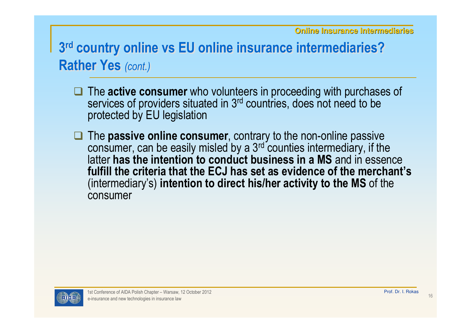- □ The **active consumer** who volunteers in proceeding with purchases of services of providers situated in 3<sup>rd</sup> countries does not need to be services of providers situated in 3<sup>rd</sup> countries, does not need to be protected by EU legislation
- $\Box$  The **passive online consumer**, contrary to the non-online passive consumer can be easily misled by a 3<sup>rd</sup> counties intermediary if the consumer, can be easily misled by a 3rd counties intermediary, if the latter has the intention to conduct business in a MS and in essence<br>fulfill the exitaria that the EC Lhas set as evidence of the marshapt' fulfill the criteria that the ECJ has set as evidence of the merchant's(intermediary's) **intention to direct his/her activity to the MS** of the consumer

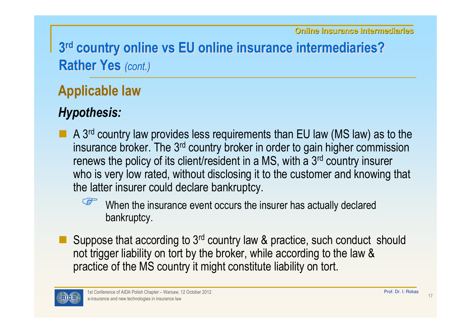#### Applicable law

#### Hypothesis:

A 3<sup>rd</sup> country law provides less requirements than EU law (MS law) as to the  $\overline{A}$  as to the insurance broker. The 3<sup>rd</sup> country broker in erder to gain big bor commission insurance broker. The 3<sup>rd</sup> country broker in order to gain higher commission renews the policy of its client/resident in a MS, with a 3rd country insurer who is very low rated, without disclosing it to the customer and knowing that the latter insurer could declare bankruptcy.



 When the insurance event occurs the insurer has actually declared bankruptcy.

Suppose that according to 3<sup>rd</sup> country law & practice, such conduct should not trigger liability on tort by the broker, while according to the law & practice of the MS country it might constitute liability on tort.

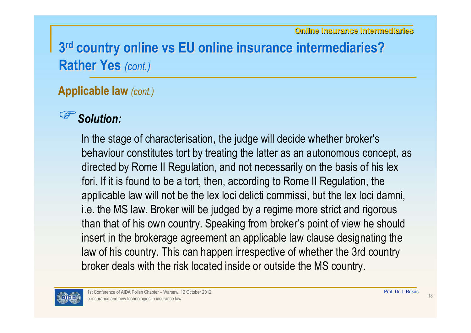# Applicable law (cont.)

#### Solution:

In the stage of characterisation, the judge will decide whether broker's behaviour constitutes tort by treating the latter as an autonomous concept, as directed by Rome II Regulation, and not necessarily on the basis of his lex fori. If it is found to be a tort, then, according to Rome II Regulation, the applicable law will not be the lex loci delicti commissi, but the lex loci damni, i.e. the MS law. Broker will be judged by a regime more strict and rigorous than that of his own country. Speaking from broker's point of view he should insert in the brokerage agreement an applicable law clause designating the law of his country. This can happen irrespective of whether the 3rd country broker deals with the risk located inside or outside the MS country.

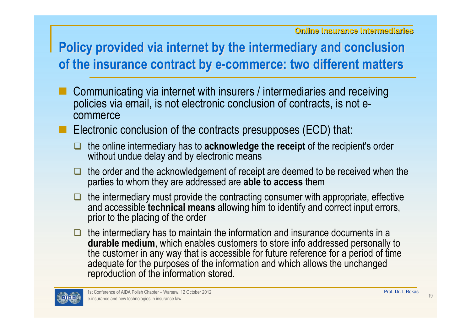#### Policy provided via internet by the intermediary and conclusion of the insurance contract by e-commerce: two different matters

- Communicating via internet with insurers / intermediaries and receiving policies via email, is not electronic conclusion of contracts, is not ecommerce
- **Electronic conclusion of the contracts presupposes (ECD) that:** 
	- $\Box$ the online intermediary has to **acknowledge the receipt** of the recipient's order without undue delay and by electronic means
	- $\Box$  the order and the acknowledgement of receipt are deemed to be received when the parties to whom they are addressed are **able to access** them
	- **D**  the intermediary must provide the contracting consumer with appropriate, effective and accessible **technical means** allowing him to identify and correct input errors, prior to the placing of the order
	- $\Box$  the intermediary has to maintain the information and insurance documents in a durable medium, which enables customers to store info addressed personally to the customer in any way that is accessible for future reference for a period of time adequate for the purposes of the information and which allows the unchanged reproduction of the information stored.

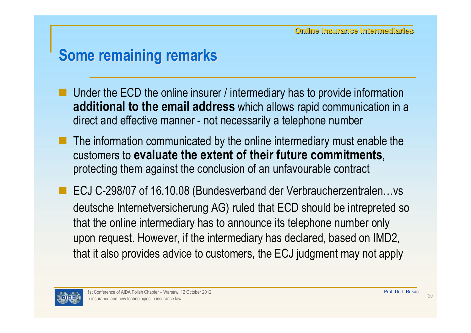# Some remaining remarks

- Under the ECD the online insurer / intermediary has to provide information additional to the email address which allows rapid communication in a direct and effective manner - not necessarily a telephone number
- The information communicated by the online intermediary must enable the customers to evaluate the extent of their future commitments, protecting them against the conclusion of an unfavourable contract
- ECJ C-298/07 of 16.10.08 (Bundesverband der Verbraucherzentralen…vs deutsche Internetversicherung AG) ruled that ECD should be intrepreted so that the online intermediary has to announce its telephone number only upon request. However, if the intermediary has declared, based on IMD2, that it also provides advice to customers, the ECJ judgment may not apply

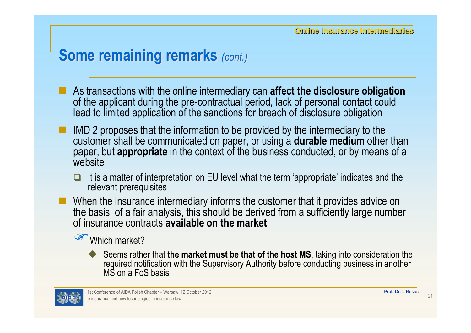#### Some remaining remarks (cont.)

- As transactions with the online intermediary can **affect the disclosure obligation**<br>of the applicant during the pre-contractual period, lack of personal contact could of the applicant during the pre-contractual period, lack of personal contact could lead to limited application of the sanctions for breach of disclosure obligation
- IMD 2 proposes that the information to be provided by the intermediary to the customer shall be communicated on paper, or using a **durable medium** other than<br>paper, but **appropriate** in the context of the business conducted, or by means of a paper, but **appropriate** in the context of the business conducted, or by means of a website
	- It is a matter of interpretation on EU level what the term 'appropriate' indicates and the relevant prerequisites relevant prerequisites
- When the insurance intermediary informs the customer that it provides advice on<br>the basis, of a fair analysis, this should be derived from a sufficiently large numbe the basis of a fair analysis, this should be derived from a sufficiently large number of insurance contracts available on the market

Which market?

♦ ◆ Seems rather that **the market must be that of the host MS**, taking into consideration the required notification with the Supervisory Authority before conducting business in another MS on a FoS basis